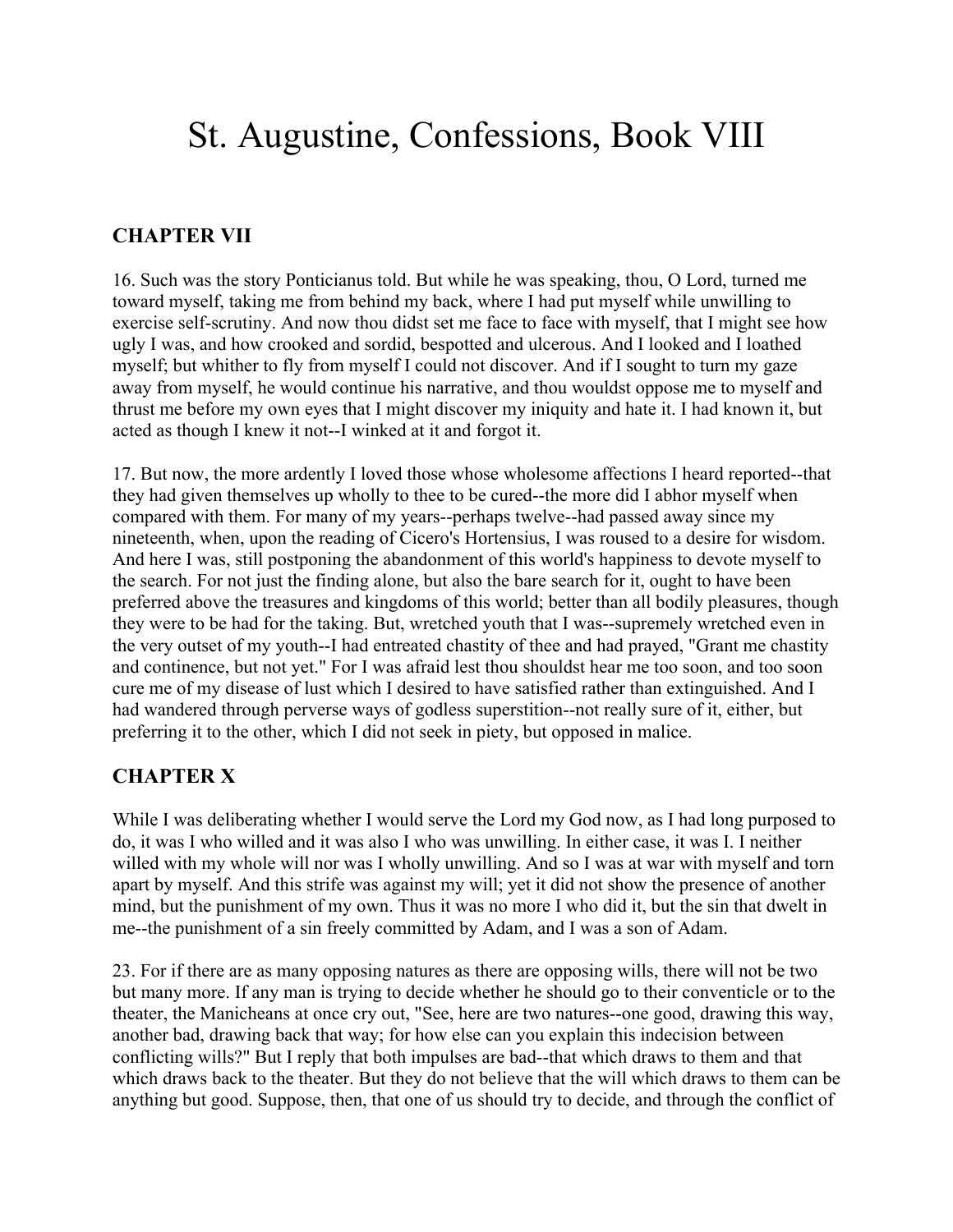## St. Augustine, Confessions, Book VIII

## **CHAPTER VII**

16. Such was the story Ponticianus told. But while he was speaking, thou, O Lord, turned me toward myself, taking me from behind my back, where I had put myself while unwilling to exercise self-scrutiny. And now thou didst set me face to face with myself, that I might see how ugly I was, and how crooked and sordid, bespotted and ulcerous. And I looked and I loathed myself; but whither to fly from myself I could not discover. And if I sought to turn my gaze away from myself, he would continue his narrative, and thou wouldst oppose me to myself and thrust me before my own eyes that I might discover my iniquity and hate it. I had known it, but acted as though I knew it not--I winked at it and forgot it.

17. But now, the more ardently I loved those whose wholesome affections I heard reported--that they had given themselves up wholly to thee to be cured--the more did I abhor myself when compared with them. For many of my years--perhaps twelve--had passed away since my nineteenth, when, upon the reading of Cicero's Hortensius, I was roused to a desire for wisdom. And here I was, still postponing the abandonment of this world's happiness to devote myself to the search. For not just the finding alone, but also the bare search for it, ought to have been preferred above the treasures and kingdoms of this world; better than all bodily pleasures, though they were to be had for the taking. But, wretched youth that I was--supremely wretched even in the very outset of my youth--I had entreated chastity of thee and had prayed, "Grant me chastity and continence, but not yet." For I was afraid lest thou shouldst hear me too soon, and too soon cure me of my disease of lust which I desired to have satisfied rather than extinguished. And I had wandered through perverse ways of godless superstition--not really sure of it, either, but preferring it to the other, which I did not seek in piety, but opposed in malice.

## **CHAPTER X**

While I was deliberating whether I would serve the Lord my God now, as I had long purposed to do, it was I who willed and it was also I who was unwilling. In either case, it was I. I neither willed with my whole will nor was I wholly unwilling. And so I was at war with myself and torn apart by myself. And this strife was against my will; yet it did not show the presence of another mind, but the punishment of my own. Thus it was no more I who did it, but the sin that dwelt in me--the punishment of a sin freely committed by Adam, and I was a son of Adam.

23. For if there are as many opposing natures as there are opposing wills, there will not be two but many more. If any man is trying to decide whether he should go to their conventicle or to the theater, the Manicheans at once cry out, "See, here are two natures--one good, drawing this way, another bad, drawing back that way; for how else can you explain this indecision between conflicting wills?" But I reply that both impulses are bad--that which draws to them and that which draws back to the theater. But they do not believe that the will which draws to them can be anything but good. Suppose, then, that one of us should try to decide, and through the conflict of